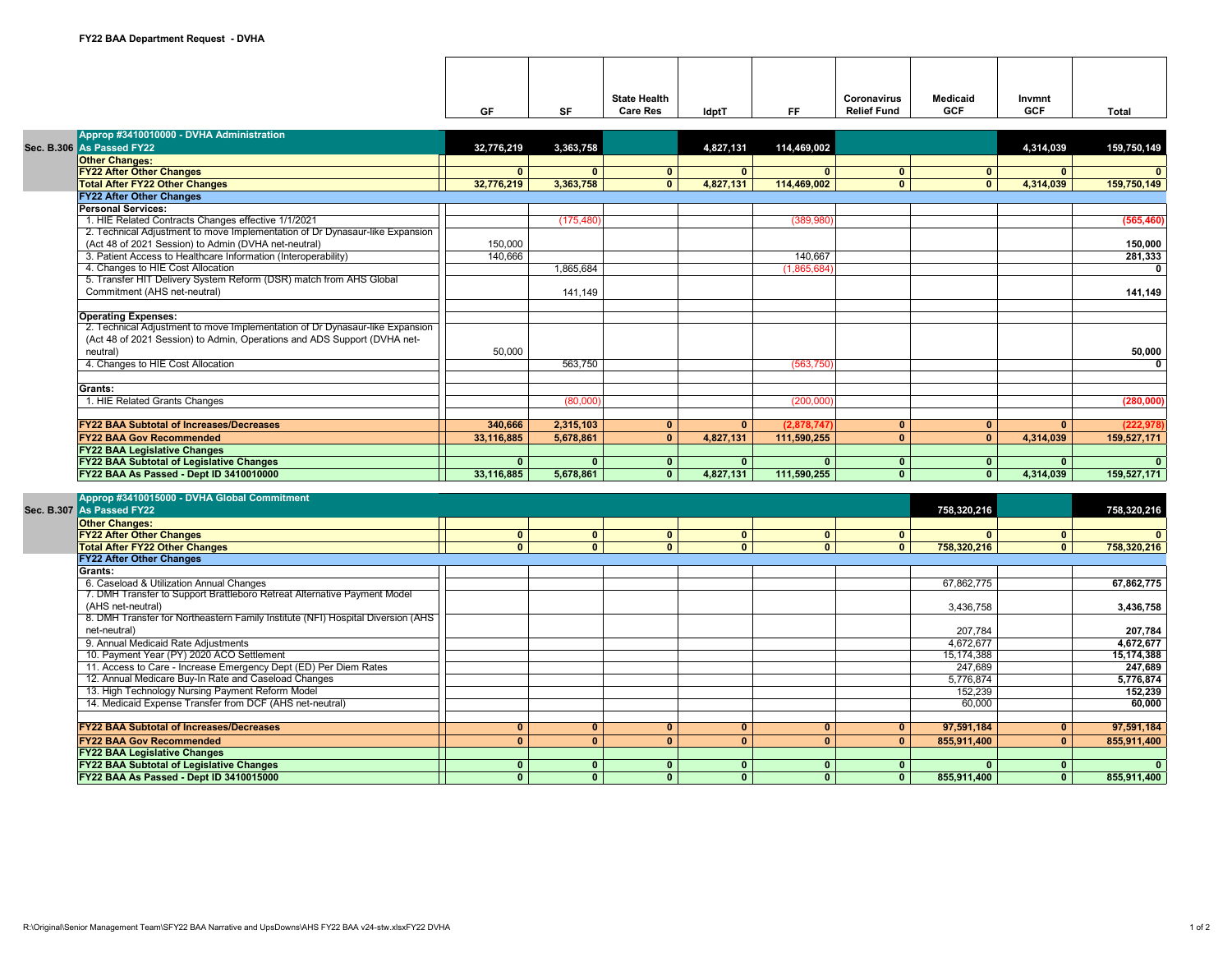|  |                                                                              |                |              | <b>State Health</b> |              |              | Coronavirus        | <b>Medicaid</b> | Invmnt       |                         |
|--|------------------------------------------------------------------------------|----------------|--------------|---------------------|--------------|--------------|--------------------|-----------------|--------------|-------------------------|
|  |                                                                              | GF             | <b>SF</b>    | <b>Care Res</b>     | <b>IdptT</b> | FF.          | <b>Relief Fund</b> | <b>GCF</b>      | <b>GCF</b>   | <b>Total</b>            |
|  | Approp #3410010000 - DVHA Administration                                     |                |              |                     |              |              |                    |                 |              |                         |
|  | Sec. B.306 As Passed FY22                                                    | 32,776,219     | 3,363,758    |                     | 4,827,131    | 114,469,002  |                    |                 | 4,314,039    | 159,750,149             |
|  | <b>Other Changes:</b>                                                        |                |              |                     |              |              |                    |                 |              |                         |
|  | <b>FY22 After Other Changes</b>                                              | $\mathbf{0}$   | $\mathbf{0}$ | $\mathbf{0}$        | $\mathbf{0}$ | $\mathbf{0}$ | $\mathbf{0}$       | $\mathbf{0}$    | $\mathbf{0}$ |                         |
|  | <b>Total After FY22 Other Changes</b>                                        | 32,776,219     | 3,363,758    | $\overline{0}$      | 4,827,131    | 114,469,002  | $\overline{0}$     | $\bullet$       | 4,314,039    | 159,750,149             |
|  | <b>FY22 After Other Changes</b>                                              |                |              |                     |              |              |                    |                 |              |                         |
|  | <b>Personal Services:</b>                                                    |                |              |                     |              |              |                    |                 |              |                         |
|  | 1. HIE Related Contracts Changes effective 1/1/2021                          |                | (175, 480)   |                     |              | (389.980)    |                    |                 |              | (565, 460)              |
|  | 2. Technical Adjustment to move Implementation of Dr Dynasaur-like Expansion |                |              |                     |              |              |                    |                 |              |                         |
|  | (Act 48 of 2021 Session) to Admin (DVHA net-neutral)                         | 150,000        |              |                     |              |              |                    |                 |              | 150,000                 |
|  | 3. Patient Access to Healthcare Information (Interoperability)               | 140,666        |              |                     |              | 140,667      |                    |                 |              | 281,333                 |
|  | 4. Changes to HIE Cost Allocation                                            |                | 1.865.684    |                     |              | (1,865,684)  |                    |                 |              | $\overline{\mathbf{0}}$ |
|  | 5. Transfer HIT Delivery System Reform (DSR) match from AHS Global           |                |              |                     |              |              |                    |                 |              |                         |
|  | Commitment (AHS net-neutral)                                                 |                | 141,149      |                     |              |              |                    |                 |              | 141,149                 |
|  |                                                                              |                |              |                     |              |              |                    |                 |              |                         |
|  | <b>Operating Expenses:</b>                                                   |                |              |                     |              |              |                    |                 |              |                         |
|  | 2. Technical Adjustment to move Implementation of Dr Dynasaur-like Expansion |                |              |                     |              |              |                    |                 |              |                         |
|  | (Act 48 of 2021 Session) to Admin, Operations and ADS Support (DVHA net-     |                |              |                     |              |              |                    |                 |              |                         |
|  | neutral)                                                                     | 50.000         |              |                     |              |              |                    |                 |              | 50,000                  |
|  | 4. Changes to HIE Cost Allocation                                            |                | 563,750      |                     |              | (563, 750)   |                    |                 |              | $\overline{0}$          |
|  |                                                                              |                |              |                     |              |              |                    |                 |              |                         |
|  | Grants:                                                                      |                |              |                     |              |              |                    |                 |              |                         |
|  | 1. HIE Related Grants Changes                                                |                | (80,000)     |                     |              | (200,000)    |                    |                 |              | (280,000)               |
|  |                                                                              |                |              |                     |              |              |                    |                 |              |                         |
|  | <b>FY22 BAA Subtotal of Increases/Decreases</b>                              | 340.666        | 2.315.103    | $\mathbf{0}$        | $\mathbf{0}$ | (2,878,747)  | $\mathbf{0}$       | $\mathbf{0}$    | $\mathbf{0}$ | (222.978)               |
|  | <b>FY22 BAA Gov Recommended</b>                                              | 33,116,885     | 5,678,861    | $\mathbf{0}$        | 4,827,131    | 111,590,255  | $\mathbf{0}$       | $\mathbf{0}$    | 4,314,039    | 159,527,171             |
|  | <b>FY22 BAA Legislative Changes</b>                                          |                |              |                     |              |              |                    |                 |              |                         |
|  | <b>FY22 BAA Subtotal of Legislative Changes</b>                              | $\mathbf{0}$   | $\mathbf{0}$ | $\mathbf{0}$        | $\mathbf{0}$ | $\mathbf{0}$ | $\mathbf{0}$       | $\mathbf{0}$    | $\mathbf{0}$ | $\overline{0}$          |
|  | FY22 BAA As Passed - Dept ID 3410010000                                      | 33,116,885     | 5,678,861    | $\mathbf{0}$        | 4,827,131    | 111,590,255  | $\mathbf{0}$       | $\mathbf{0}$    | 4,314,039    | 159,527,171             |
|  |                                                                              |                |              |                     |              |              |                    |                 |              |                         |
|  | Approp #3410015000 - DVHA Global Commitment                                  |                |              |                     |              |              |                    |                 |              |                         |
|  | Sec. B.307 As Passed FY22                                                    |                |              |                     |              |              |                    | 758,320,216     |              | 758,320,216             |
|  | <b>Other Changes:</b>                                                        |                |              |                     |              |              |                    |                 |              |                         |
|  | <b>FY22 After Other Changes</b>                                              | $\overline{0}$ | $\mathbf{0}$ | $\mathbf{0}$        | $\mathbf{0}$ | $\mathbf{0}$ | $\mathbf{0}$       | $\mathbf{0}$    | $\mathbf{0}$ | $\mathbf{0}$            |
|  | <b>Total After FY22 Other Changes</b>                                        | $\mathbf{0}$   | $\mathbf{0}$ | $\mathbf{0}$        | $\mathbf{0}$ | $\mathbf{0}$ | $\mathbf{0}$       | 758,320,216     | $\mathbf{0}$ | 758,320,216             |
|  | <b>FY22 After Other Changes</b>                                              |                |              |                     |              |              |                    |                 |              |                         |
|  | Grants:                                                                      |                |              |                     |              |              |                    |                 |              |                         |
|  | 6. Caseload & Utilization Annual Changes                                     |                |              |                     |              |              |                    | 67,862,775      |              | 67,862,775              |

| Grants:                                                                         |          |  |              |             |             |
|---------------------------------------------------------------------------------|----------|--|--------------|-------------|-------------|
| 6. Caseload & Utilization Annual Changes                                        |          |  |              | 67.862.775  | 67.862.775  |
| 7. DMH Transfer to Support Brattleboro Retreat Alternative Payment Model        |          |  |              |             |             |
| (AHS net-neutral)                                                               |          |  |              | 3.436.758   | 3,436,758   |
| 8. DMH Transfer for Northeastern Family Institute (NFI) Hospital Diversion (AHS |          |  |              |             |             |
| net-neutral)                                                                    |          |  |              | 207.784     | 207,784     |
| 9. Annual Medicaid Rate Adjustments                                             |          |  |              | 4,672,677   | 4,672,677   |
| 10. Payment Year (PY) 2020 ACO Settlement                                       |          |  |              | 15.174.388  | 15,174,388  |
| 11. Access to Care - Increase Emergency Dept (ED) Per Diem Rates                |          |  |              | 247.689     | 247,689     |
| 12. Annual Medicare Buy-In Rate and Caseload Changes                            |          |  |              | 5,776,874   | 5,776,874   |
| 13. High Technology Nursing Payment Reform Model                                |          |  |              | 152,239     | 152,239     |
| 14. Medicaid Expense Transfer from DCF (AHS net-neutral)                        |          |  |              | 60,000      | 60.000      |
|                                                                                 |          |  |              |             |             |
| <b>FY22 BAA Subtotal of Increases/Decreases</b>                                 | $\bf{0}$ |  | $\bf{0}$     | 97,591,184  | 97,591,184  |
| <b>FY22 BAA Gov Recommended</b>                                                 | $\bf{0}$ |  | $\mathbf{0}$ | 855,911,400 | 855,911,400 |
| <b>FY22 BAA Legislative Changes</b>                                             |          |  |              |             |             |
| <b>FY22 BAA Subtotal of Legislative Changes</b>                                 | 0        |  | 0            | $\bf{0}$    |             |
| FY22 BAA As Passed - Dept ID 3410015000                                         |          |  | 0            | 855,911,400 | 855,911,400 |